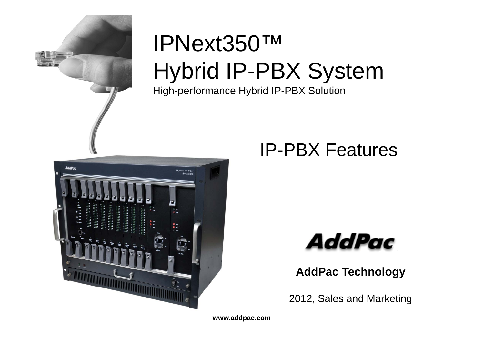

# IPNext350™ Hybrid IP-PBX System High-performance Hybrid IP-PBX Solution



## IP-PBX Features



**AddPac Technology**

2012, Sales and Marketing

**www.addpac.com**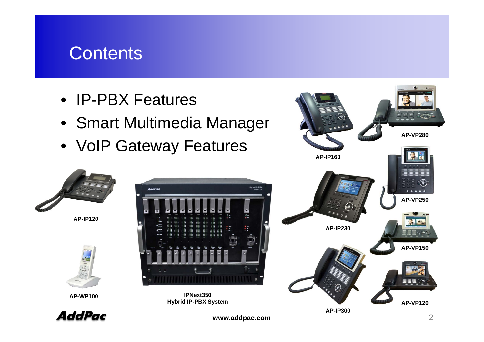### **Contents**

- IP-PBX Features
- Smart Multimedia Manager
- VoIP Gateway Features

AddPac





**AP-IP120**



**AP-WP100**



lybrid IP-PB

**IPNext350 Hybrid IP-PBX System**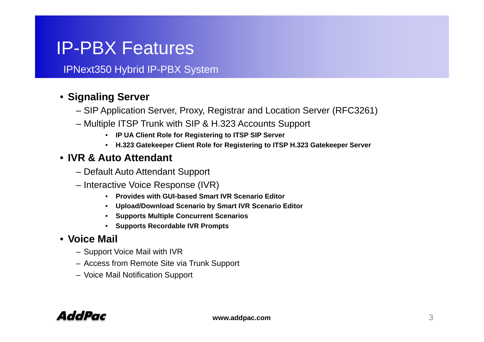IPNext350 Hybrid IP-PBX System

### • **Si li S Signaling Server**

- SIP Application Server, Proxy, Registrar and Location Server (RFC3261)
- Multiple ITSP Trunk with SIP & H.323 Accounts Support
	- **IP UA Client Role for Registering to ITSP SIP Server**
	- **H.323 Gatekeeper Client Role for Registering to ITSP H.323 Gatekeeper Server**

#### • **IVR & Auto Attendant**

- Default Auto Attendant Support
- Interactive Voice Response (IVR)
	- **Provides with GUI-based Smart IVR Scenario Editor**
	- **Up y load/Download Scenario by Smart IVR Scenario Editor**
	- **Supports Multiple Concurrent Scenarios**
	- **Supports Recordable IVR Prompts**

#### • **Voice Mail**

- Support Voice Mail with IVR
- Access from Remote Site via Trunk Support
- Voice Mail Notification Support

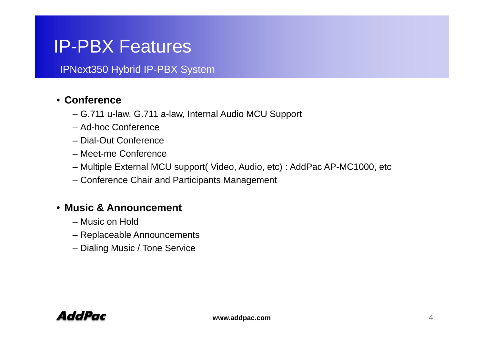IPNext350 Hybrid IP-PBX System

#### • **Conference**

- G.711 u-law, G.711 a-law, Internal Audio MCU Support
- Ad-hoc Conference
- Dial-Out Conference
- Meet-me Conference
- Multiple External MCU support( Video, Audio, etc) : AddPac AP-MC1000, etc
- Conference Chair and Participants Management

#### • **Music & Announcement**

- Music on Hold
- Replaceable Announcements
- Dialing Music / Tone Service

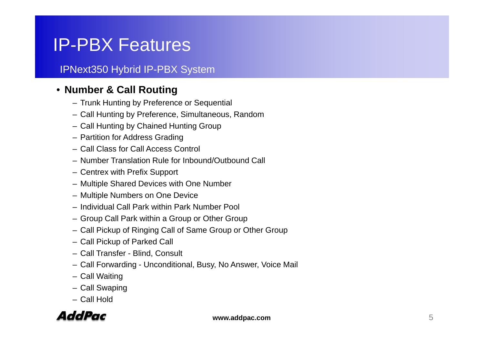### IPNext350 Hybrid IP-PBX System

### • **Number & Call Routing**

- Trunk Hunting by Preference or Sequential
- Call Hunting by Preference, Simultaneous, Random
- Call Hunting by Chained Hunting Group
- Partition for Address Grading
- Call Class for Call Access Control
- Number Translation Rule for Inbound/Outbound Call
- Centrex with Prefix Support
- Multiple Shared Devices with One Number
- Multiple Numbers on One Device
- Individual Call Park within Park Number Pool Number
- Group Call Park within a Group or Other Group
- Call Pickup of Ringing Call of Same Group or Other Group
- Call Pickup of Parked Call
- Call Transfer Blind, Consult
- Call Forwarding Unconditional, Busy, No Answer, Voice Mail
- Call Waiting
- Call Swaping
- Call Hold

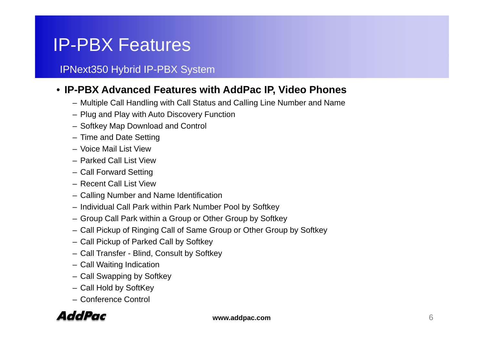#### IPNext350 Hybrid IP-PBX System

#### • **IP-PBX Advanced Features with AddPac IP, Video Phones PBX with**

- Multiple Call Handling with Call Status and Calling Line Number and Name
- Plug and Play with Auto Discovery Function
- Softkey Map Download and Control
- Time and Date Setting
- Voice Mail List View
- Parked Call List View
- Call Forward Setting
- Recent Call List View
- Calling Number and Name Identification
- Individual Call Park within Park Number Pool by Softkey
- Group Call Park within a Group or Other Group by Softkey
- Call Pickup of Ringing Call of Same Group or Other Group by Softkey
- Call Pickup of Parked Call by Softkey
- Call Transfer Blind, Consult by Softkey
- Call Waiting Indication
- Call Swapping by Softkey
- Call Hold by SoftKey
- Conference Control

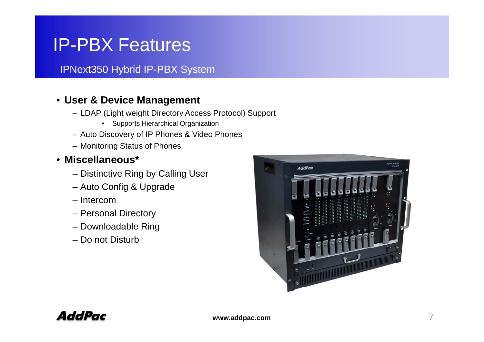IPNext350 Hybrid IP-PBX System

#### • **User & Device Management**

- LDAP (Light weight Directory Access Protocol) Support
	- Supports Hierarchical Organization
- Auto Discovery of IP Phones & Video Phones
- Monitoring Status of Phones

#### • **Miscellaneous\***

- Distinctive Ring by Calling User
- Auto Config & Upgrade
- Intercom
- Personal Directory
- Downloadable Ring
- Do not Disturb

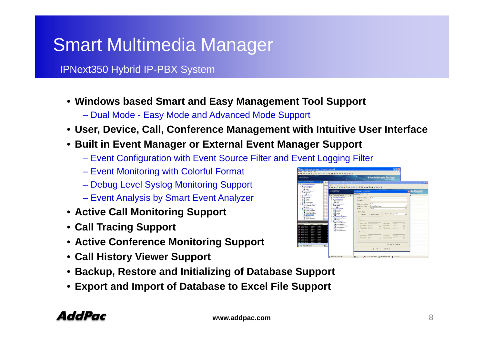# Smart Multimedia Manager

IPNext350 Hybrid IP-PBX System

- **Windows based Smart and Easy Management Tool Support**
	- Dual Mode Easy Mode and Advanced Mode Support
- **User, Device, Call, Conference Management with Intuitive User Interface**
- **Built in Event Manager or External Event Manager Support**
	- Event Configuration with Event Source Filter and Event Logging Filter
	- Event Monitoring with Colorful Format
	- Debug Level Syslog Monitoring Support
	- Event Analysis by Smart Event Analyzer
- **A ti C ll M it i S t ctive all Monitoring Suppor**
- **Call Tracing Support**
- **Active Conference Monitoring Support**
- **Call History Viewer Support**
- **Backup, Restore and Initializing of Database Support**
- **Export and Import of Database to Excel File Support File**

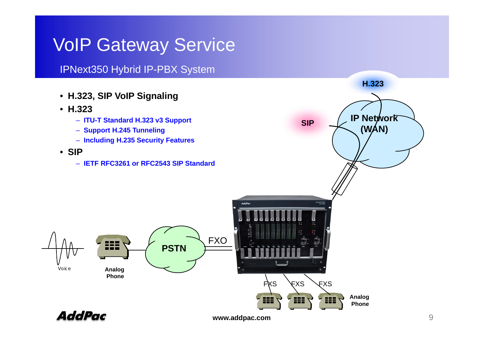#### IPNext350 Hybrid IP-PBX System

**H.323H 323 SIP V IP Si li** • **H.323, VoIP Signaling**  • **H.323IP Network**<br>\(WAN) – **ITU-T Standard H.323 v3 Support SIP**– **Support H.245 Tunneling (WAN)** – **Including H.235 Security Features** • **SIP**– **IETF RFC3261 or RFC2543 SIP Standard**lybrid IP-PU FXO E22 **PSTN** Voice**Analog Phone** FXS FXS **F**<sub>KS</sub>

**www.addpac.com** 9

**Analog Phone**

Ħ

FF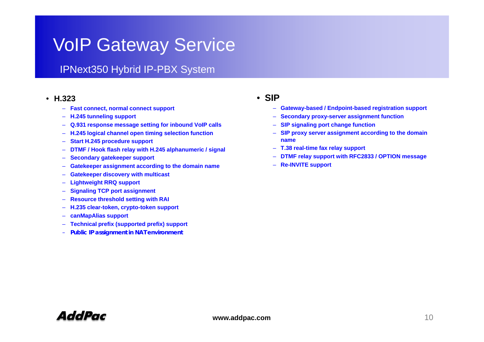#### IPNext350 Hybrid IP-PBX System

#### • **H.323**

- **Fast connect, normal connect support**
- **H.245 tunneling support**
- **Q.931 response message setting for inbound VoIP calls**
- **H 245 logical channel open timing selection f nction** –
- $\equiv$ **Start H.245 procedure support**
- –**DTMF / Hook flash relay with H.245 alphanumeric / signal**
- –**Secondary gatekeeper support**
- –**Gatekeeper assignment according to the domain name**
- –**Gatekeeper discovery with multicast**
- $\equiv$ **Lightweight RRQ support**
- $\equiv$ **Signaling TCP port assignment**
- –**Resource threshold setting with RAI**
- **H.235 clear-token, yp cr to-token support**
- –**canMapAlias support**
- –**Technical prefix (supported prefix) support**
- –**Public IP assignment in NAT environment**

#### • **SIP**

- **Gateway-based / Endpoint-based registration support**
- **Secondary proxy-server assignment function**
- **SIP signaling port change function**
- **H.245 open function SIP proxy server assignment according to the domain name**
	- **T.38 real-time fax relay support**
	- **DTMF relay support with RFC2833 / OPTION message**
	- **Re-INVITE support**

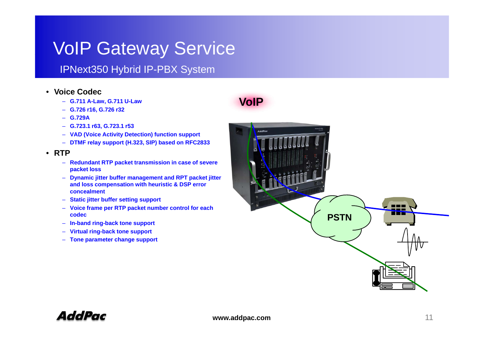### IPNext350 Hybrid IP-PBX System

- **Voice Codec**
	- **G.711 A-Law, G.711 U-Law**
	- **G.726 r16, G.726 r32**
	- **G.729A**
	- **G.723.1 r63, G.723.1 r53**
	- **VAD (Voice Activity Detection) function support**
	- **DTMF relay support (H.323, SIP) based on RFC2833**
- **RTP**
	- **Redundant RTP packet transmission in case of severe packet loss**
	- **Dynamic jitter buffer management and RPT packet jitter and loss compensation with heuristic & DSP error concealment**
	- **Static jitter buffer setting support**
	- **Voice frame per RTP packet number control for each codec**
	- **In-band ring-back tone support**
	- **Virtual ring-back tone support**
	- **Tone parameter change support**

### **VoIP**



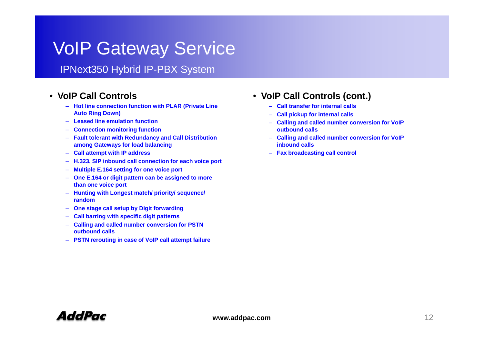IPNext350 Hybrid IP-PBX System

#### •**VoIPallControls**

- **Hot line connection function with PLAR (Private Line Auto Ring Down)**
- **Leased line emulation function**
- $-$  **Connection monitoring function**
- **Fault tolerant with Redundancy and Call Distribution among Gateways for load balancing**
- **Call attempt with IP address**
- **H.323, SIP inbound call connection for each voice port**
- **Multiple E.164 setting for one voice port**
- **One E.164 or digit pattern can be assigned to more than one voice port**
- **Hunting with Longest match/ priority/ sequence/ random**
- **One stage call setup by Digit forwarding**
- **Call barring with specific digit patterns**
- **Calling and called number conversion for PSTN outbound calls**
- **PSTN rerouting in case of VoIP call attempt failure**

#### **V IP C ll C t l V IP C ll C t l ( t )** • **VoIP all Con trols (con t.)**

- **Call transfer for internal calls**
- –**Call pickup for internal calls**
- **Calling and called number conversion for VoIP g outbound calls**
- **Calling and called number conversion for VoIP inbound calls**
- **Fax broadcasting call control**